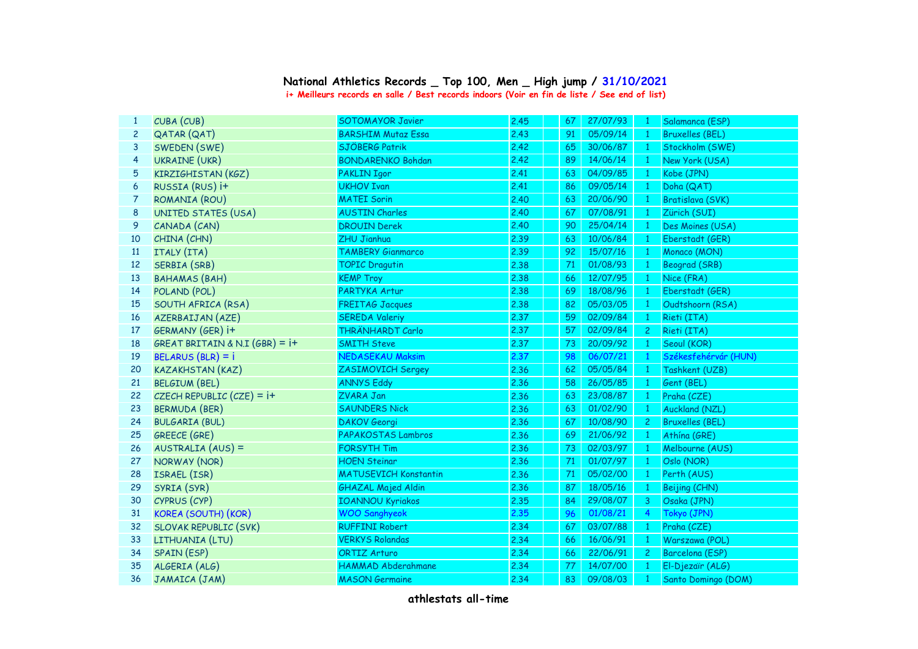## **National Athletics Records \_ Top 100, Men \_ High jump / 31/10/2021 i+ Meilleurs records en salle / Best records indoors (Voir en fin de liste / See end of list)**

| $\mathbf{1}$   | CUBA (CUB)                       | <b>SOTOMAYOR Javier</b>      | 2.45 | 67 | 27/07/93 | $\overline{1}$ | Salamanca (ESP)        |
|----------------|----------------------------------|------------------------------|------|----|----------|----------------|------------------------|
| $\overline{c}$ | QATAR (QAT)                      | <b>BARSHIM Mutaz Essa</b>    | 2.43 | 91 | 05/09/14 | $\mathbf{1}$   | <b>Bruxelles (BEL)</b> |
| 3              | SWEDEN (SWE)                     | SJÖBERG Patrik               | 2.42 | 65 | 30/06/87 | $\mathbf{1}$   | Stockholm (SWE)        |
| $\overline{4}$ | <b>UKRAINE (UKR)</b>             | <b>BONDARENKO Bohdan</b>     | 2.42 | 89 | 14/06/14 | $\mathbf{1}$   | New York (USA)         |
| 5              | <b>KIRZIGHISTAN (KGZ)</b>        | <b>PAKLIN Igor</b>           | 2.41 | 63 | 04/09/85 | $\mathbf{1}$   | Kobe (JPN)             |
| 6              | RUSSIA (RUS) i+                  | <b>UKHOV Ivan</b>            | 2.41 | 86 | 09/05/14 | $\mathbf{1}$   | Doha (QAT)             |
| 7              | ROMANIA (ROU)                    | <b>MATEI Sorin</b>           | 2.40 | 63 | 20/06/90 | $\mathbf{1}$   | Bratislava (SVK)       |
| 8              | UNITED STATES (USA)              | <b>AUSTIN Charles</b>        | 2.40 | 67 | 07/08/91 | $\mathbf{1}$   | Zürich (SUI)           |
| 9              | CANADA (CAN)                     | <b>DROUIN Derek</b>          | 2.40 | 90 | 25/04/14 | $\mathbf{1}$   | Des Moines (USA)       |
| 10             | CHINA (CHN)                      | <b>ZHU Jianhua</b>           | 2.39 | 63 | 10/06/84 | $\overline{1}$ | Eberstadt (GER)        |
| 11             | ITALY (ITA)                      | <b>TAMBERY Gianmarco</b>     | 2.39 | 92 | 15/07/16 | $\mathbf{1}$   | Monaco (MON)           |
| 12             | SERBIA (SRB)                     | <b>TOPIC Dragutin</b>        | 2.38 | 71 | 01/08/93 | $\mathbf{1}$   | Beograd (SRB)          |
| 13             | <b>BAHAMAS (BAH)</b>             | <b>KEMP Troy</b>             | 2.38 | 66 | 12/07/95 | $\mathbf{1}$   | Nice (FRA)             |
| 14             | POLAND (POL)                     | PARTYKA Artur                | 2.38 | 69 | 18/08/96 | $\mathbf{1}$   | Eberstadt (GER)        |
| 15             | SOUTH AFRICA (RSA)               | <b>FREITAG Jacques</b>       | 2.38 | 82 | 05/03/05 | $\mathbf{1}$   | Oudtshoorn (RSA)       |
| 16             | AZERBAIJAN (AZE)                 | <b>SEREDA Valeriy</b>        | 2.37 | 59 | 02/09/84 | $\mathbf{1}$   | Rieti (ITA)            |
| 17             | GERMANY (GER) i+                 | THRÄNHARDT Carlo             | 2.37 | 57 | 02/09/84 | $\overline{c}$ | Rieti (ITA)            |
| 18             | GREAT BRITAIN & N.I (GBR) = $i+$ | <b>SMITH Steve</b>           | 2.37 | 73 | 20/09/92 | $\mathbf{1}$   | Seoul (KOR)            |
| 19             | $BELARUS (BLR) = i$              | <b>NEDASEKAU Maksim</b>      | 2.37 | 98 | 06/07/21 | $\overline{1}$ | Székesfehérvár (HUN)   |
| 20             | <b>KAZAKHSTAN (KAZ)</b>          | <b>ZASIMOVICH Sergey</b>     | 2.36 | 62 | 05/05/84 | $\mathbf{1}$   | Tashkent (UZB)         |
| 21             | <b>BELGIUM (BEL)</b>             | <b>ANNYS Eddy</b>            | 2.36 | 58 | 26/05/85 | $\overline{1}$ | Gent (BEL)             |
| 22             | CZECH REPUBLIC $(CZE) = i+$      | <b>ZVARA Jan</b>             | 2.36 | 63 | 23/08/87 | $\overline{1}$ | Praha (CZE)            |
| 23             | <b>BERMUDA (BER)</b>             | <b>SAUNDERS Nick</b>         | 2.36 | 63 | 01/02/90 | $\mathbf{1}$   | Auckland (NZL)         |
| 24             | <b>BULGARIA (BUL)</b>            | <b>DAKOV Georgi</b>          | 2.36 | 67 | 10/08/90 | $\overline{c}$ | <b>Bruxelles (BEL)</b> |
| 25             | <b>GREECE (GRE)</b>              | PAPAKOSTAS Lambros           | 2.36 | 69 | 21/06/92 | $\mathbf{1}$   | Athína (GRE)           |
| 26             | AUSTRALIA (AUS) =                | <b>FORSYTH Tim</b>           | 2.36 | 73 | 02/03/97 | $\mathbf{1}$   | Melbourne (AUS)        |
| 27             | NORWAY (NOR)                     | <b>HOEN Steinar</b>          | 2.36 | 71 | 01/07/97 | $\mathbf{1}$   | Oslo (NOR)             |
| 28             | ISRAEL (ISR)                     | <b>MATUSEVICH Konstantin</b> | 2.36 | 71 | 05/02/00 | $\mathbf{1}$   | Perth (AUS)            |
| 29             | SYRIA (SYR)                      | <b>GHAZAL Majed Aldin</b>    | 2.36 | 87 | 18/05/16 | $\mathbf{1}$   | Beijing (CHN)          |
| 30             | CYPRUS (CYP)                     | <b>IOANNOU Kyriakos</b>      | 2.35 | 84 | 29/08/07 | 3              | Osaka (JPN)            |
| 31             | <b>KOREA (SOUTH) (KOR)</b>       | <b>WOO Sanghyeok</b>         | 2.35 | 96 | 01/08/21 | $\overline{4}$ | Tokyo (JPN)            |
| 32             | <b>SLOVAK REPUBLIC (SVK)</b>     | <b>RUFFINI Robert</b>        | 2.34 | 67 | 03/07/88 | $\mathbf{1}$   | Praha (CZE)            |
| 33             | LITHUANIA (LTU)                  | <b>VERKYS Rolandas</b>       | 2.34 | 66 | 16/06/91 | $\mathbf{1}$   | Warszawa (POL)         |
| 34             | SPAIN (ESP)                      | <b>ORTIZ Arturo</b>          | 2.34 | 66 | 22/06/91 | $\mathbf{2}$   | Barcelona (ESP)        |
| 35             | ALGERIA (ALG)                    | <b>HAMMAD Abderahmane</b>    | 2.34 | 77 | 14/07/00 | $\mathbf{1}$   | El-Djezaïr (ALG)       |
| 36             | JAMAICA (JAM)                    | <b>MASON Germaine</b>        | 2.34 | 83 | 09/08/03 | $\mathbf{1}$   | Santo Domingo (DOM)    |
|                |                                  |                              |      |    |          |                |                        |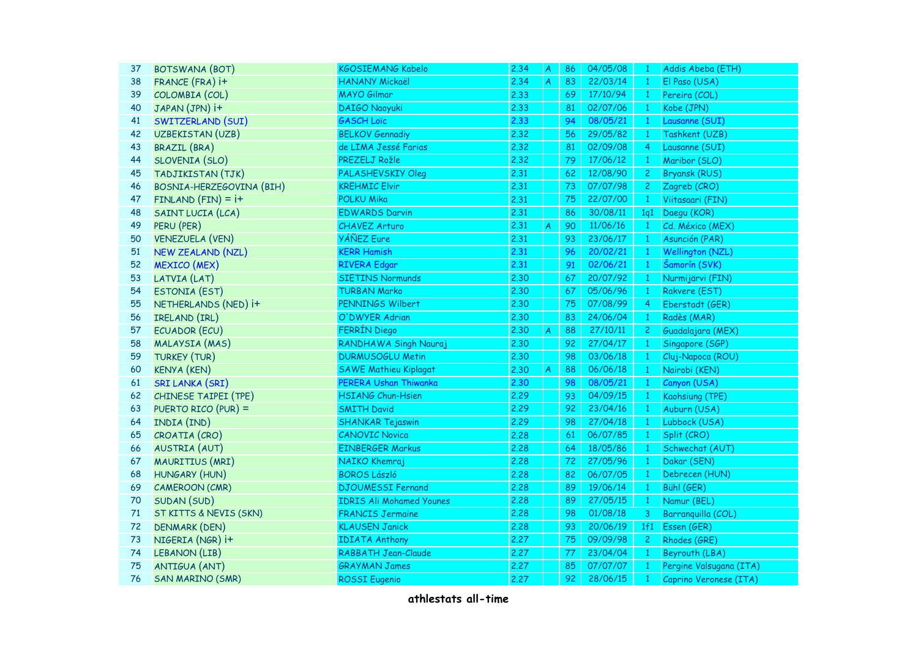| 37 | <b>BOTSWANA (BOT)</b>    | <b>KGOSIEMANG Kabelo</b>        | 2.34 | $\overline{A}$ | 86 | 04/05/08 | $\mathbf{1}$   | Addis Abeba (ETH)       |
|----|--------------------------|---------------------------------|------|----------------|----|----------|----------------|-------------------------|
| 38 | FRANCE (FRA) i+          | <b>HANANY Mickaël</b>           | 2.34 | A              | 83 | 22/03/14 | $\mathbf{1}$   | El Paso (USA)           |
| 39 | COLOMBIA (COL)           | <b>MAYO Gilmar</b>              | 2.33 |                | 69 | 17/10/94 | $\mathbf{1}$   | Pereira (COL)           |
| 40 | JAPAN (JPN) i+           | <b>DAIGO Naoyuki</b>            | 2.33 |                | 81 | 02/07/06 | $\mathbf{1}$   | Kobe (JPN)              |
| 41 | SWITZERLAND (SUI)        | <b>GASCH Loïc</b>               | 2.33 |                | 94 | 08/05/21 | $\mathbf{1}$   | Lausanne (SUI)          |
| 42 | UZBEKISTAN (UZB)         | <b>BELKOV Gennadiy</b>          | 2.32 |                | 56 | 29/05/82 | $\mathbf{1}$   | Tashkent (UZB)          |
| 43 | <b>BRAZIL (BRA)</b>      | de LIMA Jessé Farias            | 2.32 |                | 81 | 02/09/08 | 4              | Lausanne (SUI)          |
| 44 | SLOVENIA (SLO)           | PREZELJ Rožle                   | 2.32 |                | 79 | 17/06/12 | $\mathbf{1}$   | Maribor (SLO)           |
| 45 | TADJIKISTAN (TJK)        | <b>PALASHEVSKIY Oleg</b>        | 2.31 |                | 62 | 12/08/90 | $\overline{c}$ | <b>Bryansk (RUS)</b>    |
| 46 | BOSNIA-HERZEGOVINA (BIH) | <b>KREHMIC Elvir</b>            | 2.31 |                | 73 | 07/07/98 | $\mathbf{2}$   | Zagreb (CRO)            |
| 47 | $FINLAND (FIN) = i+$     | <b>POLKU Mika</b>               | 2.31 |                | 75 | 22/07/00 | $\mathbf{1}$   | Viitasaari (FIN)        |
| 48 | SAINT LUCIA (LCA)        | <b>EDWARDS Darvin</b>           | 2.31 |                | 86 | 30/08/11 | 1q1            | Daegu (KOR)             |
| 49 | PERU (PER)               | <b>CHAVEZ Arturo</b>            | 2.31 | A              | 90 | 11/06/16 | $\mathbf{1}$   | Cd. México (MEX)        |
| 50 | <b>VENEZUELA (VEN)</b>   | <b>YÁÑEZ</b> Eure               | 2.31 |                | 93 | 23/06/17 | $\mathbf{1}$   | Asunción (PAR)          |
| 51 | <b>NEW ZEALAND (NZL)</b> | <b>KERR Hamish</b>              | 2.31 |                | 96 | 20/02/21 | $\mathbf{1}$   | <b>Wellington (NZL)</b> |
| 52 | <b>MEXICO</b> (MEX)      | <b>RIVERA Edgar</b>             | 2.31 |                | 91 | 02/06/21 | $\mathbf{1}$   | Šamorín (SVK)           |
| 53 | LATVIA (LAT)             | <b>SIETINS Normunds</b>         | 2.30 |                | 67 | 20/07/92 | $\mathbf{1}$   | Nurmijärvi (FIN)        |
| 54 | ESTONIA (EST)            | <b>TURBAN Marko</b>             | 2.30 |                | 67 | 05/06/96 | $\mathbf{1}$   | Rakvere (EST)           |
| 55 | NETHERLANDS (NED) i+     | PENNINGS Wilbert                | 2.30 |                | 75 | 07/08/99 | $\overline{4}$ | Eberstadt (GER)         |
| 56 | IRELAND (IRL)            | O'DWYER Adrian                  | 2.30 |                | 83 | 24/06/04 | $\mathbf{1}$   | Radès (MAR)             |
| 57 | ECUADOR (ECU)            | FERRÍN Diego                    | 2.30 | A              | 88 | 27/10/11 | $\overline{c}$ | Guadalajara (MEX)       |
| 58 | MALAYSIA (MAS)           | RANDHAWA Singh Nauraj           | 2.30 |                | 92 | 27/04/17 | $\mathbf{1}$   | Singapore (SGP)         |
| 59 | <b>TURKEY (TUR)</b>      | <b>DURMUSOGLU Metin</b>         | 2.30 |                | 98 | 03/06/18 | $\mathbf{1}$   | Cluj-Napoca (ROU)       |
| 60 | <b>KENYA (KEN)</b>       | <b>SAWE Mathieu Kiplagat</b>    | 2,30 | A              | 88 | 06/06/18 | $\mathbf{1}$   | Nairobi (KEN)           |
| 61 | <b>SRI LANKA (SRI)</b>   | PERERA Ushan Thiwanka           | 2.30 |                | 98 | 08/05/21 | $\mathbf{1}$   | Canyon (USA)            |
| 62 | CHINESE TAIPEI (TPE)     | <b>HSIANG Chun-Hsien</b>        | 2.29 |                | 93 | 04/09/15 | $\mathbf{1}$   | Kaohsiung (TPE)         |
| 63 | PUERTO RICO (PUR) =      | <b>SMITH David</b>              | 2.29 |                | 92 | 23/04/16 | $\mathbf{1}$   | Auburn (USA)            |
| 64 | INDIA (IND)              | <b>SHANKAR Tejaswin</b>         | 2.29 |                | 98 | 27/04/18 | $\mathbf{1}$   | Lubbock (USA)           |
| 65 | CROATIA (CRO)            | <b>CANOVIC Novica</b>           | 2.28 |                | 61 | 06/07/85 | $\mathbf{1}$   | Split (CRO)             |
| 66 | <b>AUSTRIA (AUT)</b>     | <b>EINBERGER Markus</b>         | 2.28 |                | 64 | 18/05/86 | $\mathbf{1}$   | Schwechat (AUT)         |
| 67 | MAURITIUS (MRI)          | NAIKO Khemraj                   | 2.28 |                | 72 | 27/05/96 | $\mathbf{1}$   | Dakar (SEN)             |
| 68 | HUNGARY (HUN)            | <b>BOROS László</b>             | 2.28 |                | 82 | 06/07/05 | $\mathbf{1}$   | Debrecen (HUN)          |
| 69 | <b>CAMEROON (CMR)</b>    | <b>DJOUMESSI Fernand</b>        | 2.28 |                | 89 | 19/06/14 | $\overline{1}$ | Bühl (GER)              |
| 70 | SUDAN (SUD)              | <b>IDRIS Ali Mohamed Younes</b> | 2.28 |                | 89 | 27/05/15 | $\overline{1}$ | Namur (BEL)             |
| 71 | ST KITTS & NEVIS (SKN)   | <b>FRANCIS Jermaine</b>         | 2.28 |                | 98 | 01/08/18 | 3              | Barranquilla (COL)      |
| 72 | <b>DENMARK (DEN)</b>     | <b>KLAUSEN Janick</b>           | 2.28 |                | 93 | 20/06/19 | 1f1            | Essen (GER)             |
| 73 | NIGERIA (NGR) i+         | <b>IDIATA Anthony</b>           | 2.27 |                | 75 | 09/09/98 | $\overline{c}$ | Rhodes (GRE)            |
| 74 | LEBANON (LIB)            | RABBATH Jean-Claude             | 2.27 |                | 77 | 23/04/04 | $\mathbf{1}$   | Beyrouth (LBA)          |
| 75 | <b>ANTIGUA (ANT)</b>     | <b>GRAYMAN James</b>            | 2.27 |                | 85 | 07/07/07 | $\mathbf{1}$   | Pergine Valsugana (ITA) |
| 76 | <b>SAN MARINO (SMR)</b>  | <b>ROSSI</b> Eugenio            | 2.27 |                | 92 | 28/06/15 | $\mathbf{1}$   | Caprino Veronese (ITA)  |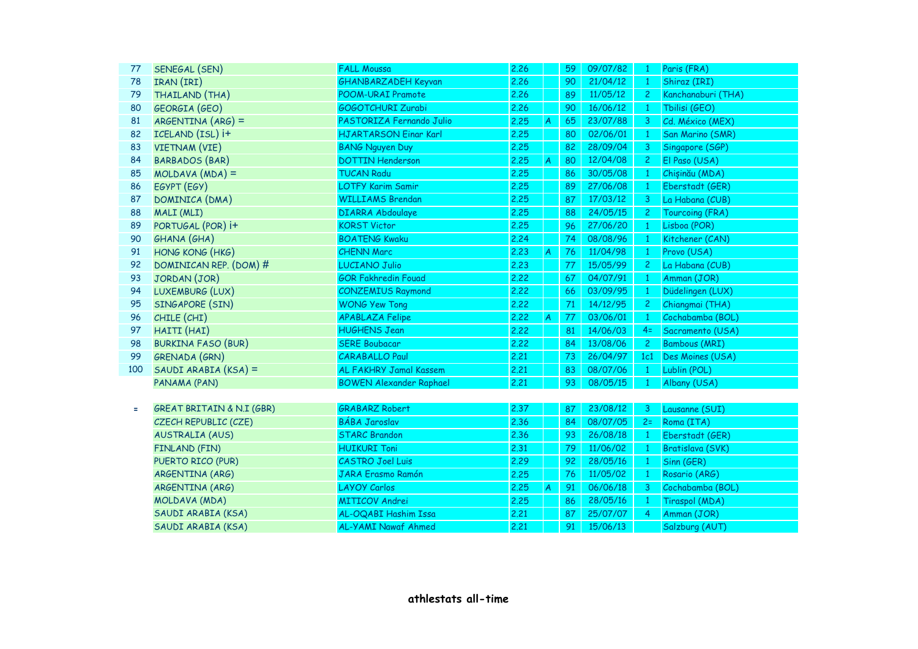| 77       | SENEGAL (SEN)                        | <b>FALL Moussa</b>             | 2.26 |                  | 59 | 09/07/82 | $\mathbf{1}$   | Paris (FRA)             |
|----------|--------------------------------------|--------------------------------|------|------------------|----|----------|----------------|-------------------------|
| 78       | IRAN (IRI)                           | GHANBARZADEH Keyvan            | 2.26 |                  | 90 | 21/04/12 | $\mathbf{1}$   | Shiraz (IRI)            |
| 79       | THAILAND (THA)                       | POOM-URAI Pramote              | 2.26 |                  | 89 | 11/05/12 | $\mathbf{2}$   | Kanchanaburi (THA)      |
| 80       | GEORGIA (GEO)                        | <b>GOGOTCHURI Zurabi</b>       | 2.26 |                  | 90 | 16/06/12 | $\mathbf{1}$   | Tbilisi (GEO)           |
| 81       | $ARGENTINA (ARG) =$                  | PASTORIZA Fernando Julio       | 2.25 | A                | 65 | 23/07/88 | 3              | Cd. México (MEX)        |
| 82       | ICELAND (ISL) i+                     | <b>HJARTARSON Einar Karl</b>   | 2.25 |                  | 80 | 02/06/01 | $\mathbf{1}$   | <b>San Marino (SMR)</b> |
| 83       | <b>VIETNAM (VIE)</b>                 | <b>BANG Nguyen Duy</b>         | 2.25 |                  | 82 | 28/09/04 | 3              | Singapore (SGP)         |
| 84       | <b>BARBADOS (BAR)</b>                | <b>DOTTIN Henderson</b>        | 2.25 | $\boldsymbol{A}$ | 80 | 12/04/08 | 2 <sup>1</sup> | El Paso (USA)           |
| 85       | $MOLDAVA$ $(MDA) =$                  | <b>TUCAN Radu</b>              | 2.25 |                  | 86 | 30/05/08 | $\mathbf{1}$   | Chișinău (MDA)          |
| 86       | EGYPT (EGY)                          | <b>LOTFY Karim Samir</b>       | 2.25 |                  | 89 | 27/06/08 | $\mathbf{1}$   | Eberstadt (GER)         |
| 87       | DOMINICA (DMA)                       | <b>WILLIAMS Brendan</b>        | 2.25 |                  | 87 | 17/03/12 | $\mathbf{3}$   | La Habana (CUB)         |
| 88       | MALI (MLI)                           | <b>DIARRA Abdoulaye</b>        | 2.25 |                  | 88 | 24/05/15 | $\mathbf{2}$   | Tourcoing (FRA)         |
| 89       | PORTUGAL (POR) i+                    | <b>KORST Victor</b>            | 2.25 |                  | 96 | 27/06/20 | $\mathbf{1}$   | Lisboa (POR)            |
| 90       | GHANA (GHA)                          | <b>BOATENG Kwaku</b>           | 2.24 |                  | 74 | 08/08/96 | $\mathbf{1}$   | Kitchener (CAN)         |
| 91       | HONG KONG (HKG)                      | <b>CHENN Marc</b>              | 2.23 | A                | 76 | 11/04/98 | $\mathbf{1}$   | Provo (USA)             |
| 92       | DOMINICAN REP. (DOM) #               | <b>LUCIANO Julio</b>           | 2.23 |                  | 77 | 15/05/99 | $\overline{2}$ | La Habana (CUB)         |
| 93       | JORDAN (JOR)                         | <b>GOR Fakhredin Fouad</b>     | 2.22 |                  | 67 | 04/07/91 | $\mathbf{1}$   | Amman (JOR)             |
| 94       | LUXEMBURG (LUX)                      | <b>CONZEMIUS Raymond</b>       | 2.22 |                  | 66 | 03/09/95 | $\mathbf{1}$   | Düdelingen (LUX)        |
| 95       | SINGAPORE (SIN)                      | <b>WONG Yew Tong</b>           | 2.22 |                  | 71 | 14/12/95 | $\overline{2}$ | Chiangmai (THA)         |
| 96       | CHILE (CHI)                          | <b>APABLAZA Felipe</b>         | 2.22 | $\boldsymbol{A}$ | 77 | 03/06/01 | $\mathbf{1}$   | Cochabamba (BOL)        |
| 97       | HAITI (HAI)                          | <b>HUGHENS Jean</b>            | 2.22 |                  | 81 | 14/06/03 | $4=$           | Sacramento (USA)        |
| 98       | <b>BURKINA FASO (BUR)</b>            | <b>SERE Boubacar</b>           | 2.22 |                  | 84 | 13/08/06 | $\overline{2}$ | <b>Bambous (MRI)</b>    |
| 99       | <b>GRENADA (GRN)</b>                 | <b>CARABALLO Paul</b>          | 2.21 |                  | 73 | 26/04/97 | 1c1            | Des Moines (USA)        |
| 100      | SAUDI ARABIA (KSA) =                 | AL FAKHRY Jamal Kassem         | 2,21 |                  | 83 | 08/07/06 | $\overline{1}$ | Lublin (POL)            |
|          | PANAMA (PAN)                         | <b>BOWEN Alexander Raphael</b> | 2.21 |                  | 93 | 08/05/15 | $\overline{1}$ | Albany (USA)            |
|          |                                      |                                |      |                  |    |          |                |                         |
| $\equiv$ | <b>GREAT BRITAIN &amp; N.I (GBR)</b> | <b>GRABARZ Robert</b>          | 2.37 |                  | 87 | 23/08/12 | $\mathbf{3}$   | Lausanne (SUI)          |
|          | CZECH REPUBLIC (CZE)                 | <b>BÁBA Jaroslav</b>           | 2.36 |                  | 84 | 08/07/05 | $2=$           | Roma (ITA)              |
|          | <b>AUSTRALIA (AUS)</b>               | <b>STARC Brandon</b>           | 2.36 |                  | 93 | 26/08/18 | $\mathbf{1}$   | Eberstadt (GER)         |
|          | FINLAND (FIN)                        | <b>HUIKURI Toni</b>            | 2,31 |                  | 79 | 11/06/02 | $\mathbf{1}$   | Bratislava (SVK)        |
|          | PUERTO RICO (PUR)                    | <b>CASTRO Joel Luis</b>        | 2.29 |                  | 92 | 28/05/16 | $\mathbf{1}$   | Sinn (GER)              |
|          | ARGENTINA (ARG)                      | <b>JARA Erasmo Ramón</b>       | 2.25 |                  | 76 | 11/05/02 | $\mathbf{1}$   | Rosario (ARG)           |
|          | ARGENTINA (ARG)                      | <b>LAYOY Carlos</b>            | 2.25 | A                | 91 | 06/06/18 | $\overline{3}$ | Cochabamba (BOL)        |
|          | MOLDAVA (MDA)                        | <b>MITICOV Andrei</b>          | 2.25 |                  | 86 | 28/05/16 | $\mathbf{1}$   | Tiraspol (MDA)          |
|          | SAUDI ARABIA (KSA)                   | AL-OQABI Hashim Issa           | 2.21 |                  | 87 | 25/07/07 | $\overline{4}$ | Amman (JOR)             |
|          | SAUDI ARABIA (KSA)                   | <b>AL-YAMI Nawaf Ahmed</b>     | 2,21 |                  | 91 | 15/06/13 |                | Salzburg (AUT)          |